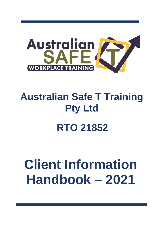

# **Australian Safe T Training Pty Ltd**

## **RTO 21852**

# **Client Information Handbook – 2021**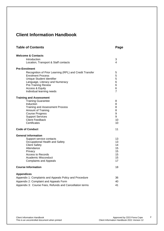## **Client Information Handbook**

| <b>Table of Contents</b>                                | Page     |
|---------------------------------------------------------|----------|
| Welcome & Contacts                                      |          |
| Introduction                                            | 3        |
| Location, Transport & Staff contacts                    | 4        |
| <b>Pre-Enrolment</b>                                    |          |
| Recognition of Prior Learning (RPL) and Credit Transfer | 5        |
| <b>Enrolment Process</b><br>Unique Student Identifier   | 5<br>5   |
| Language, Literacy and Numeracy                         | 6        |
| <b>Pre-Training Review</b>                              | 6        |
| Access & Equity                                         | 6        |
| Individual learning needs                               | 7        |
| <b>Training and Assessment</b>                          |          |
| <b>Training Guarantee</b>                               | 8        |
| Induction<br><b>Training and Assessment Process</b>     | 8<br>8   |
| Amount of Training                                      | 8        |
| <b>Course Progress</b>                                  | 9        |
| <b>Support Services</b>                                 | 9        |
| <b>Client Feedback</b><br>Certificates                  | 10<br>10 |
|                                                         |          |
| <b>Code of Conduct</b>                                  | 11       |
| <b>General information</b>                              |          |
| Support service contacts                                | 13       |
| Occupational Health and Safety<br><b>Client Safety</b>  | 13<br>14 |
| Attendance                                              | 15       |
| Privacy                                                 | 15       |
| <b>Access to Records</b>                                | 15       |
| Academic Misconduct                                     | 15       |
| <b>Complaints and Appeals</b>                           | 17       |
| <b>Course Information</b>                               | 18       |
| <b>Appendices</b>                                       |          |
| Appendix 1: Complaints and Appeals Policy and Procedure | 36       |
| Appendix 2: Complaint and Appeals Form                  | 40       |
| Appendix 3: Course Fees, Refunds and Cancellation terms | 41       |

2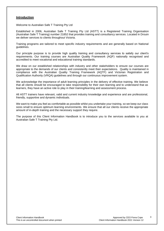#### **Introduction**

Welcome to Australian Safe T Training Pty Ltd

Established in 2006, Australian Safe T Training Pty Ltd (ASTT) is a Registered Training Organisation (Australian Safe T Training) number 21852 that provides training and consultancy services. Located in Drouin we deliver services to clients throughout Victoria.

Training programs are tailored to meet specific industry requirements and are generally based on National guidelines.

Our principle purpose is to provide high quality training and consultancy services to satisfy our client's requirements. Our training courses are Australian Quality Framework (AQF) nationally recognised and accredited to meet vocational and educational training standards.

We draw on our established relationships with industry and other stakeholders to ensure our courses are appropriate to the demands of our clients and consistently meet their expectations.Quality is maintained in compliance with the Australian Quality Training Framework (AQTF) and Victorian Registration and Qualification Authority (VRQA) guidelines and through our continuous improvement system.

We acknowledge the importance of adult learning principles in the delivery of effective training. We believe that all clients should be encouraged to take responsibility for their own learning and to understand that as learners, they have an active role to play in their training/learning and assessment process.

All ASTT trainers have relevant, valid and current industry knowledge and experience and are professional, friendly, supportive and dynamic individuals.

We want to make you feel as comfortable as possible whilst you undertake your training, so we keep our class sizes small to ensure optimum learning environments. We ensure that all our clients receive the appropriate amount of in-depth training and the necessary support they require.

The purpose of this Client Information Handbook is to introduce you to the services available to you at Australian Safe T Training Pty Ltd.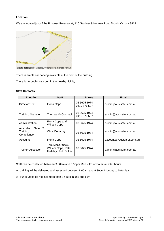#### **Location**

We are located just of the Princess Freeway at; 110 Gardner & Holman Road Drouin Victoria 3818.



@20apl @aba@2011 Google, Whereis(R), Sensis Pty Ltd

There is ample car parking available at the front of the building.

There is no public transport in the nearby vicinity.

#### **Staff Contacts**

| <b>Function</b>                              | <b>Staff</b>                                                   | <b>Phone</b>                 | <b>Email</b>              |
|----------------------------------------------|----------------------------------------------------------------|------------------------------|---------------------------|
| Director/CEO                                 | Fiona Cope                                                     | 03 5625 1974<br>0419 876 527 | admin@austsafet.com.au    |
| <b>Training Manager</b>                      | <b>Thomas McCormack</b>                                        | 03 5625 1974<br>0419 876 527 | admin@austsafet.com.au    |
| Administration                               | Fiona Cope and<br>William Cope                                 | 03 5625 1974                 | admin@austsafet.com.au    |
| Safe<br>Australian<br>Training<br>Compliance | Chris Donaghy                                                  | 03 5625 1974                 | admin@austsafet.com.au    |
| Accounts                                     | Fiona Cope                                                     | 03 5625 1974                 | accounts@austsafet.com.au |
| Trainer/ Assessor                            | Tom McCormack,<br>William Cope, Peter<br>Holliday, Rick Goldie | 03 5625 1974                 | admin@austsafet.com.au    |
|                                              |                                                                |                              |                           |

Staff can be contacted between 9.00am and 5.30pm Mon – Fri or via email after hours.

All training will be delivered and assessed between 8.00am and 9.30pm Monday to Saturday.

All our courses do not last more than 8 hours in any one day.

4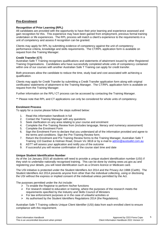## **Pre-Enrolment**

#### **Recognition of Prior Learning (RPL)**

All candidates are provided with the opportunity to have their prior learning and experience assessed and gain recognition for this. This experience may have been gained from employment, previous formal training undertaken or life experiences. The RPL process will match a client's experience to the requirements in a unit of competency and assess if recognition can be granted.

Clients may apply for RPL by submitting evidence of competency against the unit of competency performance criteria, knowledge and skills requirements. The CT/RPL application form is available on request from the Training Manager.

#### **Credit Transfer (CT)**

Australian Safe T Training recognises qualifications and statements of attainment issued by other Registered Training Organisations. Candidates who have successfully completed whole units of competency contained within one of our courses with another Australian Safe T Training can apply for credit transfer.

Both processes allow the candidate to reduce the time, study load and cost associated with achieving a qualification.

Clients may apply for Credit Transfer by submitting a Credit Transfer application form along with original certificates/ statements of attainment to the Training Manager. The CT/RPL application form is available on request from the Training Manager.

Further information on the RPL/ CT process can be accessed by contacting the Training Manager.

\*\* Please note that RPL and CT applications can only be considered for whole units of competency.

#### **Enrolment Process**

To apply for a course please follow the steps outlined below:

- 1. Read this information handbook in full
- 2. Contact the Training Manager with any questions
- 3. Seek clarification on any area relating to your course and enrolment
- 4. Complete the Pre-Training Review from (includes language, literacy and numeracy assessment)
- 5. Complete the Enrolment Form
- 6. Sign the Enrolment Form to declare that you understand all of the information provided and agree to the terms and conditions. Sign the Pre-Training Review form.
- 7. Return the Enrolment and Pre Training Review forms to the Training Manager, Australian Safe T Training 110 Gardner & Holman Road, Drouin Vic 3818 or by e-mail to [admin@austsafet.com.au](mailto:safetconsulting@dcsi.net.au)
- 8. ASTT will assess your application and notify you of the outcome
- 9. If successful you will receive confirmation of the course start time and date

#### **Unique Student Identification Number**

As of the 1st January 2015 all students will need to provide a unique student identification number (USI) if they wish to undertake nationally recognised training. This can be done by visiting [www.usi.gov.au](http://www.usi.gov.au/) and registering your details, you will need identification such as a Drivers licence or Medicare card.

The USI initiative is protected under the Student Identifiers Act 2014 and the Privacy Act 1988 (Cwlth). The Student Identifiers Act 2014 prevents anyone from other than the individual collecting, using or disclosing the USI without the express or implied consent of the individual unless permitted by the Act.

The purposes permitted under the Act include:

- ➢ To enable the Registrar to perform his/her functions
- ➢ For research related to education or training, where the purposes of the research meets the requirements specified by the Industry and Skills Council of Ministers
- ➢ For law enforcement purposes or in the case of unlawful activities or
- ➢ As authorised by the Student Identifiers Regulations 2014 (the Regulations).

Australian Safe T Training collects Unique Client Identifier (USI) data from each enrolled client to ensure compliance with this requirement.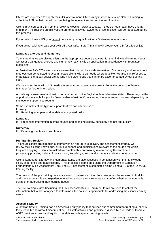Clients are requested to supply their USI at enrolment. Clients may instruct Australian Safe T Training to collect the USI on their behalf by completing the relevant section on the enrolment form.

Clients may source a USI from the following website www.usi.gov.au if they do not already have one at enrolment. Instructions on this website are to be followed. Evidence of identification will be requested during this process.

If you do not have a USI you cannot be issued your qualification or Statement of attainment.

If you do not wish to create your own USI, Australian Safe T Training will create your USI for a fee of \$20.

#### **Language Literacy and Numeracy**

To ensure that we are placing clients in the appropriate course and cater for their individual learning needs we assess Language, Literacy and Numeracy (LLN) skills on application in accordance with regulatory guidelines.

At Australian Safe T Training we are aware that this can be a delicate matter. Our delivery and assessment methods can be adjusted to accommodate clients with LLN needs where feasible. We also can refer you to organisations that can assist clients who have LLN needs that cannot be accommodated by our training staff.

We welcome clients with LLN needs are encouraged potential or current clients to contact the Training Manager for further information.

All delivery, assessment and instruction are carried out in English unless otherwise stated. There may be the opportunity available for you for "reasonable adjustment" concerning the assessment process, depending on the level of support you require.

Some examples of the type of support that we can offer include:

**Literacy** 

 $\boxtimes$  Providing examples and models of completed tasks.

#### **Language**

 $\boxtimes$  Presenting information in small chunks and speaking clearly, concisely and not too quickly.

#### **Numeracy**

 $\boxtimes$  Providing clients with calculators.

#### **Pre-Training Review**

To ensure clients are placed in a course with an appropriate delivery and assessment strategy we review their existing knowledge, skills, experience and qualifications relevant to the course for which they are applying. Clients are asked to complete this Pre training review during the enrolment process by providing details of their existing knowledge, skills and experience relevant tot eh course.

Clients Language, Literacy and Numeracy ability are also assessed in conjunction with their knowledge, skills, experience and qualifications. This process is completed using the Department of Education Foundations Skills Assessment Tool. The LLN assessment is completed online using a PC at the IQRA VET training facility.

The results of the pre training review are used to determine if the client possesses the required LLN skills and knowledge, skills and experience to address course requirements and confirm whether the course is suitable for addressing their learning needs.

The Pre training review (including the LLN assessment) and Enrolment forms are used to collect the information that will be analysed to determine if the course is appropriate for addressing the clients learning needs.

#### **Access & Equity**

Australian Safe T Training has an Access & Equity policy that outlines our commitment to treating all clients fairly, equally and without discrimination. All staff activities and practice is guided by our Code of Conduct. ASTT provides access and equity to candidates with special learning needs.

6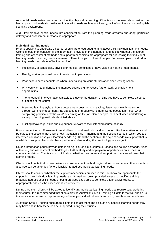As special needs extend to more than identify physical or learning difficulties, our trainers also consider the best approach when dealing with candidates with needs such as low literacy, lack of confidence or non-English speaking background.

ASTT trainers take special needs into consideration from the planning stage onwards and adopt particular delivery and assessment methods as appropriate.

#### **Individual learning needs**

Prior to applying to undertake a course, clients are encouraged to think about their individual learning needs. Clients should then consider all the information provided in this handbook and decide whether the course, training and assessment methods and support mechanisms are appropriate for addressing their individual learning needs. Learning needs can mean different things to different people. Some examples of individual learning needs may relate to/ be the result of:

- Intellectual, psychological, physical or medical conditions or have vision or hearing impairments.
- Family, work or personal commitments that impact study
- Poor experiences encountered when undertaking previous studies at or since leaving school
- Why you want to undertake the intended course e.g. to access further study or employment opportunities
- The amount of time you have available to study or the duration of time you have to complete a course or timings of the course
- Preferred learning style/ s. Some people learn best through reading, listening or watching, some through working independently as opposed to in groups with others. Some people learn best when completing practical activities and/ or learning on the job. Some people learn best when undertaking a variety of learning methods identified above.
- Existing knowledge, skills and experience relevant to their intended course of study

Prior to submitting an Enrolment form all clients should read this handbook in full. Particular attention should be paid to the sections that outline how Australian Safe T Training and the specific course in which you are interested could address your learning needs. e.g. Read the section on the type of academic support that is available to support clients who have problems understanding the terminology in a subject.

Course information pages provide details on e.g. course aims, course durations and course demands, types of learning and assessment methodologies, further study and employment opportunities on successful course completion. Clients should think about whether the course and support mechanisms address their learning needs.

Clients should note that course delivery and assessment methodologies, duration and many other aspects of a course can be amended (where feasible) to address individual learning needs.

Clients should consider whether the support mechanisms outlined in this handbook are appropriate for supporting their individual learning needs. e.g. Sometimes being provided access to modified training materials address specific needs or being provided extra time to complete a task allows clients to appropriately address the assessment requirements.

During enrolment clients will be asked to identify any individual learning needs that require support during their course. It is recommended that clients provide Australian Safe T Training full details that will enable us to identify whether we can appropriately address your individual needs and if so, how this can be achieved.

Australian Safe T Training encourage clients to contact them and discuss any specific learning needs they may have and if/ how these can be supported during their studies.

7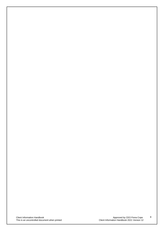This is an uncontrolled document when printed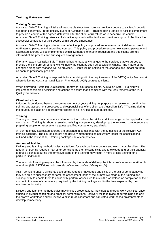## **Training & Assessment**

#### **Training Guarantee**

Australian Safe T Training will take all reasonable steps to ensure we provide a course to a client/s once it has been confirmed. In the unlikely event of Australian Safe T Training being unable to fulfil its commitment to provide a course at the agreed date it will offer the client a full refund or re-schedule the course. Australian Safe T Training takes a collaborative approach with client's and provides support to facilitate the successful completion of their course within agreed timeframes.

Australian Safe T Training implements an effective policy and procedure to ensure that it delivers current AQF training package and accredited courses. This policy and procedure ensure new training package and accredited courses will be implemented within 12 months of their introduction and that clients are fully informed of the process and subsequent arrangements.

If for any reason Australian Safe T Training has to make any changes to the services that we agreed to provide the client pre-enrolment, we will notify the client as soon as possible in writing. The nature of the change/ s along with reason/s will be provided. Clients will be notified of the changes and impact on them as soon as practicably possible.

Australian Safe T Training is responsible for complying with the requirements of the VET Quality Framework when delivering Australian Qualification Framework (AQF) courses to clients.

When delivering Australian Qualification Framework courses to clients, Australian Safe T Training will implement considered decisions and actions to ensure that it complies with the requirements of the VET Quality Framework.

#### **Client Induction**

Induction is conducted before the commencement of your training. Its purpose is to review and confirm the training and assessment processes and responsibilities of the client and Australian Safe T Training during the course. It is also an opportunity for clients to ask any last minute questions.

#### **Training**

Training is based on competency standards that outline the skills and knowledge to be applied in the workplace. Training is about assessing existing competence, developing the required competence and preparing people for assessment against specified competency standards.

All our nationally accredited courses are designed in compliance with the guidelines of the relevant AQF training package. The course content and delivery methodologies accurately reflect the specifications outlined in the relevant AQF training package unit of competency.

#### **Amount of Training**

Delivery and learning methodologies are tailored for each particular course and each particular client. The amount of training required may differ per client, as their existing skills and knowledge and or their capacity to grasp a concept during the formative stage of the training may result in more or less training for a particular individual.

The amount of training may also be influenced by the mode of delivery, be it face-to-face and/or on-the-job or on-line. (*NB. ASTT does not currently deliver any on-line delivery mode*).

ASTT strives to ensure all clients develop the required knowledge and skills of the unit of competency so they are able to successfully perform the assessment tasks at the summative stage of the training and subsequently to enable them to confidently perform associated tasks in the workplace on completion of their course to the level of competency required by the training package and to the level expected by their employer or industry.

Delivery and learning methodologies may include presentations, individual and group work activities, case studies, individual coaching and practical demonstrations. Delivery will take place at our training site or in the client's workplace and will involve a mixture of classroom and simulated work-based environments to develop competency.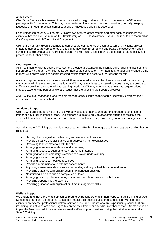#### **Assessment**

Client's performance is assessed in accordance with the guidelines outlined in the relevant AQF training package unit of competence. This may be in the form of answering questions in writing, verbally, keeping logbooks or through practical demonstrations of knowledge and skills developed.

Each unit of competency will normally involve two or three assessments and after each assessment the clients' submission will be marked S – Satisfactory or U – Unsatisfactory. Overall unit results are recorded as C – Competent and NYC – Not Yet Competent.

Clients are normally given 3 attempts to demonstrate competency at each assessment. If clients are still unable to demonstrate competency at this point, they must re-enrol and undertake the assessment and in some limited circumstances the training again. This will incur a fee. Refer to the fees and refund policy and procedure for further details.

#### **Course progress**

ASTT will monitor clients course progress and provide assistance if the client is experiencing difficulties and not progressing through their course as per their course schedule. The Training Manager will arrange a time to meet with clients who are not progressing satisfactorily and ascertain the reasons for this.

Access to appropriate supports services will then be offered to assist the client in successfully completing their course within the scheduled duration. ASTT may refer clients to external sources if they are unable to sufficiently provide support for clients learning needs. ASTT may refer clients to external organisations if they are experiencing personal/ welfare issues that are affecting their course progress.

ASTT will take all reasonable and feasible steps to assist clients so they can successfully complete their course within the course schedule

#### **Academic Support**

Client's who are experiencing difficulties with any aspect of their course are encouraged to contact their trainer or any other member of staff. Our trainers are able to provide academic support to facilitate the successful completion of your course. In certain circumstances they may refer you to external agencies for support.

Australian Safe T Training can provide and/ or arrange English language/ academic support including but not limited to:

- Helping clients adjust to the learning and assessment process
- Provide guidance and assistance with addressing homework issues
- Reviewing learner materials with the client
- Arranging extra tuition, materials and exercises,
- Arranging access to supplementary reference materials
- Arranging for supplementary exercises to develop understanding
- Arranging access to computers
- Arranging access to modified resources
- Provide opportunities to re-attempt assessments
- Adjusting assessment deadlines and amending delivery schedules, course duration
- Providing guidance with organisation/time management skills
- Negotiating a plan to enable completion of tasks
- Arranging catch up classes during non-scheduled class time and/ or holidays
- Providing opportunities to catch up
- Providing guidance with organisation/ time management skills

#### **Welfare Support**

We understand that our clients sometimes require extra support to help them cope with their training course. Sometimes there can be personal issues that impact their successful course completion. We can refer clients to an external professional welfare service if required. Clients who are experiencing issues that are impacting their studies are encouraged to contact their trainer or any other member of staff. Clients are liable to pay the fees incurred if they access external welfare support services during their studies at Australian Safe T Training

Client Information Handbook<br>This is an uncontrolled document when printed This is an uncontrolled document when printed This is an uncontrolled document when printed This is an uncontrolled document when printed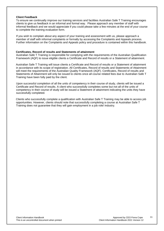#### **Client Feedback**

To ensure we continually improve our training services and facilities Australian Safe T Training encourages clients to give us feedback in an informal and formal way. Please approach any member of staff with informal feedback and we would appreciate if you could please take a few minutes at the end of your course to complete the training evaluation form.

If you wish to complain about any aspect of your training and assessment with us, please approach a member of staff with informal complaints or formally by accessing the Complaints and Appeals process. Further information on the Complaints and Appeals policy and procedure is contained within this handbook.

#### **Certificates, Record of results and Statements of attainment**

Australian Safe T Training is responsible for complying with the requirements of the Australian Qualification Framework (AQF) to issue eligible clients a Certificate and Record of results or a Statement of attainment.

Australian Safe T Training will issue clients a Certificate and Record of results or a Statement of attainment in accordance with its scope of registration. All Certificates, Record of results and Statements of Attainment will meet the requirements of the Australian Quality Framework (AQF). Certificates, Record of results and Statements of Attainment will only be issued to clients once all course related fees due to Australian Safe T Training have been fully paid by the client.

Upon successful completion of all the units of competency in their course of study, clients will be issued a Certificate and Record of results. A client who successfully completes some but not all of the units of competency in their course of study will be issued a Statement of attainment indicating the units they have successfully completed.

Clients who successfully complete a qualification with Australian Safe T Training may be able to access job opportunities. However, clients should note that successfully completing a course at Australian Safe T Training does not guarantee that they will gain employment in a job role/ industry.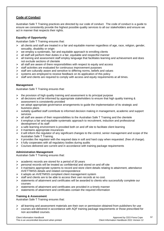## **Code of Conduct**

Australian Safe T Training practices are directed by our code of conduct. The code of conduct is a guide to ensure we consistently provide the highest possible quality services to all our stakeholders and ensure we act in manner that respects their rights.

#### **Equality of Opportunity**

Australian Safe T Training ensures that:

- $\triangleright$  all clients and staff are treated in a fair and equitable manner regardless of age, race, religion, gender, sexuality, disability or origin
- $\triangleright$  we employ a systematic, fair and equitable approach to enrolling clients
- $\triangleright$  all staff will perform their duties in a fair, equitable and respectful manner
- ➢ all training and assessment staff employ language that facilitates learning and achievement and does not exclude sections of clientele
- $\triangleright$  all staff are aware of there responsibilities with respect to equity and access
- ➢ staff activities are evaluated for continuous improvement purposes
- $\triangleright$  staff are culturally aware and sensitive to differing norms, beliefs and values
- ➢ systems are employed to receive feedback on its application of this policy
- $\geq$  staff and clients are required to comply with access and equity requirements at all times.

#### **Management**

Australian Safe T Training ensures that:

- $\triangleright$  the provision of high quality training and assessment is its principal purpose
- $\ge$  all decisions will be informed by appropriate stakeholders to ensure that high quality training & assessment is consistently provided
- $\triangleright$  we adopt appropriate governance arrangements to guide the implementation of its strategic and business plans
- ➢ suitably qualified staff contribute to informed decision making in management, academic and support services
- $\triangleright$  all staff are aware of their responsibilities to the Australian Safe T Training and the clientele
- ➢ it employs a fair and equitable systematic approach to recruitment, induction and professional development of its staff
- $\triangleright$  a safe learning environment is provided both on and off site to facilitate client learning
- $\triangleright$  it maintains appropriate insurances
- ➢ it will inform the regulator of any significant changes to the control, senior management and scope of the Australian Safe T Training.
- ➢ it provides the regulator with the required data in soft and hard copy when requested. (free of charge).
- $\triangleright$  it fully cooperates with all regulatory bodies during audits
- ➢ Courses delivered are current and in accordance with training package requirements

#### **Administration Management**

Australian Safe T Training ensures that:

- $\geq$  academic records are stored for a period of 30 years
- $\triangleright$  personal records will be treated as confidential and stored on and off site
- $\triangleright$  it maintains appropriate systems to record and store client details relating to attainment, attendance AVETTMISS details and related correspondence
- ➢ it adopts an AVETMISS compliant client management system
- $\triangleright$  staff and clients are to be able to access their own records at no cost.
- ➢ statements of attainment and certificates will be awarded to clients who successfully complete our courses
- ➢ statements of attainment and certificates are provided in a timely manner
- statements of attainment and certificates contain the required information

#### **Training & Assessment**

Australian Safe T Training ensures that:

- $\triangleright$  all learning and assessment materials are their own or permission obtained from publishers for use
- ➢ courses are delivered in accordance with AQF training package requirements or those prescribed for non accredited courses.

Client Information Handbook<br>This is an uncontrolled document when printed This is an uncontrolled document when printed This is an uncontrolled document when printed This is an uncontrolled document when printed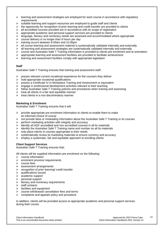- $\triangleright$  learning and assessment strategies are employed for each course in accordance with regulatory requirements
- $\triangleright$  suitable learning and support resources are employed to quide staff and clients
- $\triangleright$  the opportunity for recognition of prior learning and credit transfer are provided to clients
- $\triangleright$  all accredited courses provided are in accordance with its scope of registration
- $\triangleright$  appropriate academic and personal support services are provided to clients
- $\triangleright$  language, literacy and numeracy needs are assessed and accommodated where appropriate
- $\geq$  course delivery is no longer than 8 hours per day
- ➢ training occurs between 8.00am and 10.00pm
- $\triangleright$  all course learning and assessment material is systematically validated internally and externally
- $\triangleright$  all learning and assessment strategies are systematically validated internally and externally
- ➢ course and Australian Safe T Training information is provided to clients pre enrolment and at orientation
- $\triangleright$  appropriate learning and assessment facilities are provided to facilitate achievement
- ➢ learning and assessment facilities comply with appropriate legislation

#### **Staff**

Australian Safe T Training ensures that training and assessment staff:

- ➢ posses relevant current vocational experience for the course/s they deliver
- $\triangleright$  hold appropriate vocational qualifications
- ➢ posses a Certificate IV in Workplace Training and Assessment or equivalent
- $\triangleright$  engage in professional development activities relevant to their teaching
- $\triangleright$  follow Australian Safe T Training policies and procedures when training and assessing
- treat all clients in a fair and equitable manner
- $\triangleright$  treat clients in a non discriminatory manner

#### **Marketing & Enrolment**

Australian Safe T Training ensures that it will:

- $\triangleright$  provide appropriate pre enrolment information to clients to enable them to make an informed choice of course
- $\triangleright$  not provide false or misleading information about the Australian Safe T Training or its courses
- $\triangleright$  perform marketing activities with integrity and accuracy
- ➢ identify all AQF accredited and non accredited courses in all its materials
- $\triangleright$  identify the Australian Safe T Training name and number on all its materials
- $\triangleright$  only place clients in courses appropriate to their needs
- ➢ systematically review its marketing materials to ensure currency and accuracy
- $\triangleright$  employ a systematic, fair and equitable approach to enrolling clients

#### **Client Support Services**

Australian Safe T Training ensures that:

All clients will be supplied information pre enrolment on the following:

- ➢ course information
- ➢ enrolment process/ requirements
- ➢ course fees
- ➢ assessment arrangements
- ➢ recognition of prior learning/ credit transfer
- $\triangleright$  qualifications issued
- ➢ academic support
- ➢ personal support
- ➢ literacy and numeracy requirements
- ➢ staff contacts
- $\triangleright$  facilities and equipment
- ➢ course withdrawal/ cancellation fees and terms
- $\triangleright$  complaints and appeals policy and procedure

In addition, clients will be provided access to appropriate academic and personal support services during their course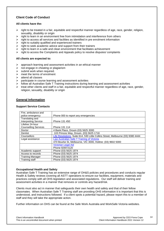## **Client Code of Conduct**

#### **All clients have the:**

- $\triangleright$  right to be treated in a fair, equitable and respectful manner regardless of age, race, gender, religion, sexuality, disability or origin
- $\triangleright$  right to learn in an environment free from intimidation and interference from others
- $\triangleright$  right to access all services and facilities as identified in pre enrolment information
- ➢ right to suitably qualified and experienced trainers
- $\triangleright$  right to seek academic advice and support from their trainers
- $\triangleright$  right to learn in a safe and clean environment that facilitates achievement
- ➢ right to access the Complaints and Appeals policy to resolve disputes/ complaints

#### **All clients are expected to:**

- $\triangleright$  approach learning and assessment activities in an ethical manner
- $\triangleright$  not engage in cheating or plagiarism
- $\triangleright$  submit work when required.
- $\triangleright$  meet the terms of enrolment
- ➢ attend all classes
- ➢ participate in course learning and assessment activities
- $\triangleright$  follow all Australian Safe T Training instructions during learning and assessment activities
- $\triangleright$  treat other clients and staff in a fair, equitable and respectful manner regardless of age, race, gender, religion, sexuality, disability or origin

#### **General Information**

#### **Support Service Contacts**

| Fire, ambulance and         |                                                                                  |
|-----------------------------|----------------------------------------------------------------------------------|
| police emergency            | Phone 000 to report any emergencies                                              |
| Translating and             |                                                                                  |
| <b>Interpreting Service</b> | Phone 131 450                                                                    |
| Lifeline 24-hour            |                                                                                  |
| <b>Counselling Services</b> | Phone 131 114                                                                    |
| Doctor                      | 4 Bank Place, Drouin (03) 5625 3000                                              |
| Dentist                     | 103 Princes Way, Drouin. (03) 5625 1718                                          |
| Counsellors                 | Life Resolutions, Suite 614, 530 Little Collins Street, Melbourne (03) 9380 4444 |
| Legal assistance            | <b>Law Australian Safe T Training of Victoria</b>                                |
|                             | 470 Bourke St, Melbourne, VIC 3000, Hotline: (03) 9602 5000                      |
|                             | <b>Victorian Legal Aid</b>                                                       |
|                             | Phone 9269 0120                                                                  |
| Academic support            | Phone (03) 5625 1974                                                             |
| Access to records           | Phone (03) 5625 1974                                                             |
| <b>Training Manager</b>     | Phone (03) 5625 1974                                                             |
| Training staff              | Phone (03) 5625 1974                                                             |

#### **Occupational Health and Safety**

Australian Safe T Training has an extensive range of OH&S policies and procedures and conducts regular Health & Safety reviews covering all ASTT operations to ensure our facilities, equipment, materials and practices comply with all OHS legislation and associated regulations. Our staff will deliver training and assessment activities in a manner that removes or controls any hazard/risk.

Clients must also act in manner that safeguards their own health and safety and that of their fellow classmates. When Australian Safe T Training staff are providing OHS information it is important that this is understood, and instructions followed. If a client spots a potential hazard, please report this to a member of staff and they will take the appropriate action.

Further information on OHS can be found at the Safe Work Australia and WorkSafe Victoria websites.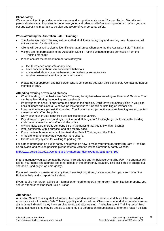#### **Client Safety**

We are committed to providing a safe, secure and supportive environment for our clients. Security and personal safety is an important issue for everyone, and relies on all of us working together. When you are out and about it is important to be alert and aware of your personal safety.

#### **When attending the Australian Safe T Training:**

- The Australian Safe T Training will be staffed at all times during day and evening time classes and all entrants asked for identification
- Clients will be asked to display identification at all times when entering the Australian Safe T Training
- Visitors are not permitted into the Australian Safe T Training without express permission from the Training Manager
- Please contact the nearest member of staff if you:
	- o feel threatened or unsafe at any time
	- o have concerns about someone else's behaviour
	- o are worried about someone harming themselves or someone else
	- o receive unwanted attention or communications
- Please do not approach another person who is concerning you with their behaviour. Contact the nearest member of staff.

#### **Attending evening or weekend classes**

- When travelling to the Australian Safe T Training be vigilant when travelling as Holman & Gardner Road can be quieter during the evening and weekends.
- Park your car in a well lit busy area and close to the building. Don't leave valuables visible in your car. Lock all doors and close all windows on leaving your car. Consider installing an immobiliser.
- Look outside before you exit the building. Check your car if you notice anyone hanging around, contact a member of staff or the police.
- Carry your keys in your hand for quick access to your vehicle.
- Pay attention to your surroundings. Look around! If things don't look right, go back inside the building and contact a member of staff or call the police.
- Always make sure there is someone else in the building that you know (staff, clients)
- Walk confidently with a purpose, and at a steady pace.
- Know the telephone numbers of the Australian Safe T Training and the Police.
- A mobile telephone may help you feel more secure.
- Create a buddy system for walking to parking lots

For further information on public safety and advice on how to make your time at Australian Safe T Training as enjoyable and safe as possible please refer to Victorian Police Community safety website:

[http://www.police.vic.gov.au/content.asp?a=internetBridgingPage&Media\\_ID=57109](http://www.police.vic.gov.au/content.asp?a=internetBridgingPage&Media_ID=57109)

In an emergency you can contact the Police, Fire Brigade and Ambulance by dialing 000. The operator will ask for your name and address and other details of the emergency situation. This call is free of charge but should be used only in an emergency.

If you feel unsafe or threatened at any time, have anything stolen, or are assaulted, you can contact the Police for help and to report the incident.

If you require non-urgent advice or information or need to report a non-urgent matter, like lost property, you should attend or call the local Police Station.

#### **Attendance**

Australian Safe T Training staff will record client attendance at each session, and this will be recorded in accordance with Australian Safe T Training policy and procedure. Clients must attend all scheduled classes at the times indicated if they have enrolled for face to face training. Australian safe T Training recognizes that sometimes clients may be unable to attend due to unforeseen circumstances. If for any reason a client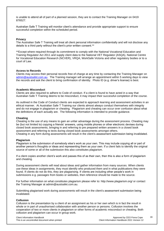is unable to attend all of part of a planned session, they are to contact the Training Manager on 0419 876527.

Australian Safe T Training will monitor client's attendance and provide appropriate support to ensure successful completion within the scheduled period.

#### **Privacy**

The Australian Safe T Training will treat all client personal information confidentially and will not disclose any details to a third party without the client's prior written consent.\*\*

\*\*Except where required through its commitment to comply with the National Vocational Education and Training Regulator Act 2011 and supply client data to the National VET Regulator (ASQA), National Centre for Vocational Education Research (NCVER), VRQA, WorkSafe Victoria and other regulatory bodies or to a court of Law.

#### **Access to Records**

Clients may access their personal records free of charge at any time by contacting the Training Manager on [admin@austsafet.com.au.](mailto:safetconsulting@dcsi.net.au) The Training manager will arrange an appointment within 5 working days to view the records and ask the client to bring confirmation of identity. Photo ID (e.g. driver's license) is best.

#### **Academic Misconduct**

Clients are also required to adhere to Code of conduct. If a client is found to have acted in a way that Australian Safe T Training deems to be misconduct, it may impact their successful completion of the course.

As outlined in the Code of Conduct clients are expected to approach learning and assessment activities in an ethical manner. At Australian Safe T Training our clients almost always conduct themselves with integrity and do not engage in plagiarism or cheating. Plagiarism and cheating can occur over confusion about what the definitions of each actually are. The following information is intended to provide guidance.

#### **Cheating**

Cheating is the use of any means to gain an unfair advantage during the assessment process. Cheating may be (but not limited to) copying a friends' answers, using mobile phones or other electronic devises during closed book assessments, bringing in and referring to pre prepared written answers in a closed book assessment and referring to texts during closed book assessments amongst others. Cheating in any form during assessments will result in the client's assessment submission being invalidated.

#### **Plagiarism**

Plagiarism is the submission of somebody else's work as your own. This may include copying all or part of another person's thoughts or ideas and representing them as your own. If a client fails to identify the original source of some or all of the submission this also constitutes plagiarism.

If a client copies another client's work and passes this of as their own, then this is also a form of plagiarism and cheating.

During assessment clients will read about ideas and gather information from many sources. When clients use these ideas in assignments, they must identify who produced them and in what publications they were found. If clients do not do this, they are plagiarising. If clients are including other people's work in submissions e.g. passages from books or websites, then reference should be made to the source.

For further information on what constitutes plagiarism please refer to: http://www.plagiarism.org/ or contact the Training Manager at admin@austsafet.com.au.

Submitting plagiarised work during assessments will result in the client's assessment submission being invalidated.

#### **Collusion**

Collusion is the presentation by a client of an assignment as his or her own which is in fact the result in whole or in part of unauthorised collaboration with another person or persons. Collusion involves the cooperation of two or more clients in plagiarism or other forms of academic misconduct or cheating. Both collusion and plagiarism can occur in group work.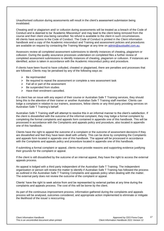Unauthorised collusion during assessments will result in the client's assessment submission being invalidated.

Cheating and/ or plagiarism and/ or collusion during assessments will be treated as a breach of the Code of Conduct and is deemed to be 'Academic Misconduct' and may lead to the client being removed from the course and their client visa being cancelled. No refund is available to the client in such circumstances. All clients have access to the Code of Conduct. The Code of Conduct is printed in the Client information handbook and a copy of the Academic misconduct and Training and assessment policies and procedures are available on request by contacting the Training Manager at any time on [admin@austsafet.com.au.](mailto:ivet.australia@gmail.com)

Assessors review all completed assessment submissions to identify instances of cheating, plagiarism or collusion. During the quality assurance processes undertaken on completed files a further review of completed assessment submissions to identify instances of cheating, plagiarism or collusion. If instances are identified, action is taken in accordance with the Academic misconduct policy and procedure.

If clients have been found to have colluded, cheated or plagiarised, there are penalties and processes that are followed. Clients may be penalised by any of the following ways as:

- ➢ Be reprimanded
- $\triangleright$  Be required to repeat the assessment or complete a new assessment task
- $\triangleright$  Fail all or part of the assessment
- $\triangleright$  Be suspended from studies
- $\triangleright$  Have their enrolment cancelled.

If a client has an issue with any aspect of their course or Australian Safe T Training services, they should bring this to the attention of their trainer or another Australian Safe T Training staff member. Clients can lodge a complaint in relation to our trainers, assessors, fellow clients or any third-party providing services on Australian Safe T Training's behalf.

Australian Safe T Training staff will attempt to resolve this in an informal manner to the client's satisfaction. If the client is dissatisfied with the outcome of the informal complaint, they may lodge a formal complaint by completing the formal complaints and appeals form contained in appendix one of this handbook. This will be processed in accordance with the Complaints and appeals policy and procedure, also located in appendix one of this handbook.

Clients have the right to appeal the outcome of a complaint or the outcome of assessment decisions if they are dissatisfied and feel they have been dealt with unfairly. This can be done by completing the Complaints and appeals form located in appendix one of this handbook. The appeal will be processed in accordance with the Complaints and appeals policy and procedure located in appendix one of this handbook.

If submitting a formal complaint or appeal, clients must provide reasons and supporting evidence justifying their grounds for the complaint or appeal.

If the client is still dissatisfied by the outcome of an internal appeal, they have the right to access the external appeals process.

An appeal is lodged with a third party independent of the Australian Safe T Training. The independent organisation or person will review the matter to identify if Australian Safe T Training has followed the process as outlined in the Australian Safe T Training Complaints and appeals policy when dealing with the matter. The external party does not review the outcome of the complaint or appeal.

Clients' have the right to seek advice from and be represented by external parties at any time during the complaints and appeals process. The cost of this will be borne by the client.

As part of the continuous improvement process, information gathered during the complaints and appeals process will be analysed, outcomes considered, and appropriate action implemented to eliminate or mitigate the likelihood of the issue/ s reoccurring.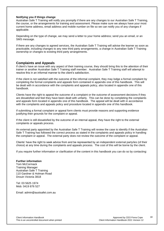#### **Notifying you if things change**

Australian Safe T Training will notify you promptly if there are any changes to our Australian Safe T Training, the course, or the arrangements for training and assessment. Please make sure we always have your most current home address, email address and mobile number on file so we can notify you of any changes if applicable.

Depending on the type of change, we may send a letter to your home address; send you an email, or an SMS message.

If there are any changes to agreed services, the Australian Safe T Training will advise the learner as soon as practicable, including changes to any new third party arrangements, a change in Australian Safe T Training ownership or changes to existing third party arrangements.

#### **Complaints and Appeals**

If client's have an issue with any aspect of their training course, they should bring this to the attention of their trainer or another Australian Safe T Training staff member. Australian Safe T Training staff will attempt to resolve this in an informal manner to the client's satisfaction.

If the client is not satisfied with the outcome of the informal complaint, they may lodge a formal complaint by completing the formal complaints and appeals form contained in appendix one of this handbook. This will be dealt with in accordance with the complaints and appeals policy, also located in appendix one of this handbook.

Clients have the right to appeal the outcome of a complaint or the outcome of assessment decisions if they are dissatisfied and feel they have been dealt with unfairly. This can be done by completing the complaints and appeals form located in appendix one of this handbook. The appeal will be dealt with in accordance with the complaints and appeals policy and procedure located in appendix one of this handbook.

If submitting a formal complaint or appeal form clients must provide reasons and supporting evidence justifying their grounds for the complaint or appeal.

If the client is still dissatisfied by the outcome of an internal appeal, they have the right to the external complaints or appeals process.

An external party appointed by the Australian Safe T Training will review the case to identify if the Australian Safe T Training has followed the correct process as stated in the complaints and appeals policy in handling the complaint or appeal. The external party does not review the outcome of the complaint or appeal.

Clients' have the right to seek advice from and be represented by an independent external party/ies (of their choice) at any time during the complaints and appeals process. The cost of this will be borne by the client.

If you require further information or clarification of the content in this handbook you can do so by contacting:

#### **Further information**

Tom McCormack Training Manager Australian Safe T Training 110 Gardner & Holman Road Drouin Victoria 3818

Tel: 03 5625 1974 Mob: 0419 876 527

Email: admin@austsafet.com.au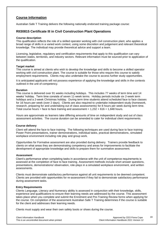## **Course Information**

Australian Safe T Training delivers the following nationally endorsed training package course:

## **RII30815 Certificate III in Civil Construction Plant Operations**

#### **Course description**

This qualification reflects the role of a skilled operator working with civil construction plant, who applies a broad range of skills in a varied work context, using some discretion and judgement and relevant theoretical knowledge. The individual may provide theoretical advice and support a team.

Licensing, legislative, regulatory and certification requirements that apply to this qualification can vary between states, territories, and industry sectors. Relevant information must be sourced prior to application of the qualification.

#### **Target market**

This course is aimed at clients who wish to develop the knowledge and skills to become a skilled operator working with civil construction plant. The course is suitable for those who require this course to satisfy employment requirements. Clients may also undertake the course to access further study opportunities.

It is anticipated applicants will not possess experience of applying the knowledge and skills in the contexts outlined in the unit of competency.

#### **Duration**

This course is delivered over 91 weeks including holidays. This includes 77 weeks of term time and 14 weeks' holiday. Term time consists of seven 11-week terms. Holiday periods include six 2-week term holidays and a 2-week Christmas holiday. During term time students attend scheduled face to face classes for 16 hours per week (over 2 days). Clients are also required to undertake independent study (homework, research, preparing for and undertaking out of class assessments) for 8 hours per week during term time. Total course hours = face to face training and assessment =  $1,232 + 616 = 1,848$  hours.

Hours are approximate as learners take differing amounts of time on independent study and out of class assessment activities. The course duration can be amended to cater for individual client requirements.

#### **Course delivery**

Client will attend the face to face training. The following techniques are used during face to face training: Power Point presentations, trainer demonstrations, individual tasks, practical demonstrations, simulated workplace environment including role play and group work.

Opportunities for Formative assessment are also provided during delivery. Trainers provide feedback to clients on what areas they are demonstrating competency and areas for improvements to facilitate the development of appropriate knowledge and skills to prepare them for summative assessment.

#### **Assessment**

Client's performance when completing tasks in accordance with the unit of competence requirements is assessed at the completion of face to face training. Assessment methods include short answer questions, presentations, demonstrations/ observation, role-plays in a simulated workplace environment, and written assessments.

Clients must demonstrate satisfactory performance against all unit requirements to be deemed competent. Clients are provided with opportunities for re-assessment if they fail to demonstrate satisfactory performance during assessment tasks.

#### **Entry Requirements**

Clients Language, Literacy and Numeracy ability is assessed in conjunction with their knowledge, skills, experience and qualifications to ensure their learning needs are addressed by the course. This assessment takes place when you complete and submit the Enrolment and Pre-Training Review forms when applying for the course. On completion of the assessment Australian Safe T Training determines if the course is suitable for the client and addresses their learning needs.

Clients must supply and wear their own safety boots or shoes during the course.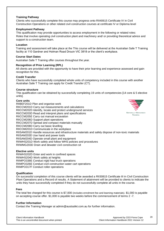#### **Training Pathway**

Clients who successfully complete this course may progress onto RII40615 Certificate IV in Civil Construction Operations or other related civil construction courses at certificate IV or Diploma level

#### **Employment Pathway**

This qualification may provide opportunities to access employment in the following or related roles: Roles that involve operating civil construction plant and machinery and/ or providing theoretical advice and support to a construction team.

#### **Location**

Training and assessment will take place at the This course will be delivered at the Australian Safe T Training facility at 110 Gardner and Holman Road Drouin VIC 3818 or the client's workplace.

#### **Course Start Dates**

Australian Safe T Training offer courses throughout the year.

#### **Recognition of Prior Learning (RPL)**

All clients are provided with the opportunity to have their prior learning and experience assessed and gain recognition for this.

#### **Credit Transfer**

Clients who have successfully completed whole units of competency included in this course with another Australian Safe T Training can apply for Credit Transfer (CT).

#### **Course structure**

This qualification can be obtained by successfully completing 19 units of competencies [14 core & 5 elective units].

#### **Core units**

RIIBEF201D Plan and organise work RIICCM201D Carry out measurements and calculations RIICCM202D Identify, locate and protect underground services RIICCM203D Read and interpret plans and specifications TRAINING RIICCM205E Carry out manual excavation RIICCM206D Support plant operations RIICCM207D Spread and compact materials manually RIICCM208D Carry out basic levelling RIICOM201D Communicate in the workplace RIISAM201D Handle resources and infrastructure materials and safely dispose of non-toxic materials RIISAM203D Use hand and power tools RIISAM204D Operate small plant and equipment RIIWHS201D Work safely and follow WHS policies and procedures RIIWMG203D Drain and dewater civil construction sit

#### **Elective units**

RIIWHS202D Enter and work in confined spaces RIIWHS204D Work safely at heights RIIMPO338E Conduct rigid haul truck operations RIIMPO326E Conduct civil construction water cart operations RIIMPO317F Conduct roller operations

#### **Qualification**

On successful completion of this course clients will be awarded a RII30815 Certificate III in Civil Construction Plant Operations and a Record of results. A Statement of attainment will be provided to clients to indicate the units they have successfully completed if they do not successfully complete all units in the course.

#### **Fees**

The total fee charged for this course is \$7,000 (includes enrolment fee and learning materials). \$1,000 is payable on accepting course offer. \$1,000 is payable two weeks before the commencement of terms 2 -7.

#### **Further Information**

Contact the Training Manager at admin@austsafet.com.au for further information.

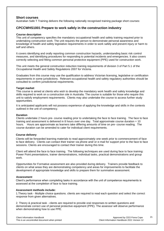#### **Short courses**

Australian Safe T Training delivers the following nationally recognised training package short courses:

## **CPCCWHS1001 Prepare to work safely in the construction industry**

#### **Course description**

This unit of competency specifies the mandatory occupational health and safety training required prior to undertaking construction work. The unit requires the person to demonstrate personal awareness and knowledge of health and safety legislative requirements in order to work safely and prevent injury or harm to self and others.

It covers identifying and orally reporting common construction hazards, understanding basic risk control measures, and identifying procedures for responding to potential incidents and emergencies. It also covers correctly selecting and fitting common personal protective equipment (PPE) used for construction work.

This unit meets the general construction induction training requirements of division 3 of Part 5.1 of the Occupational Health and Safety Regulations 2007 for Victoria.

Graduates from this course may use the qualification to address Victorian licensing, legislative or certification requirements in some jurisdictions. Relevant occupational health and safety regulatory authorities should be consulted to confirm jurisdictional requirements.

#### **Target market**

This course is aimed at clients who wish to develop the mandatory work health and safety knowledge and skills required to work on a construction site in Australia. The course is suitable for those who require this unit to satisfy employment requirements. Clients may also undertake the course to access further study opportunities.

It is anticipated applicants will not possess experience of applying the knowledge and skills in the contexts outlined in the unit of competency.

#### **Duration**

Clients undertake 2 hours pre- course reading prior to undertaking the face to face training. The face to face training and assessment is delivered in 8 hours over one day. Total approximate course duration = 10 hours. Hours are approximate as learners take differing amounts of time on pre- course reading. The course duration can be amended to cater for individual client requirements.

#### **Course delivery**

Clients will be forwarded learning materials to read approximately one week prior to commencement of face to face delivery. Clients can contact their trainer via phone and/ or e-mail for support prior to the face to face sessions. Clients are encouraged to contact their trainer during this time.

Client will attend the face to face training. The following techniques are used during face to face training: Power Point presentations, trainer demonstrations, individual tasks, practical demonstrations and group work.

Opportunities for Formative assessment are also provided during delivery. Trainers provide feedback to clients on what areas they are demonstrating competency and areas for improvements to facilitate the development of appropriate knowledge and skills to prepare them for summative assessment.

#### **Assessment**

Client's performance when completing tasks in accordance with the unit of competence requirements is assessed at the completion of face to face training.

#### **Assessment methods include:**

1.Theory task - Multiple choice questions. clients are required to read each question and select the correct response from given alternatives.

2. Theory & practical task - clients are required to provide oral responses to written questions and demonstrate correct use of personal protective equipment (PPE). The assessor will observe performance when demonstrating how to use PPE.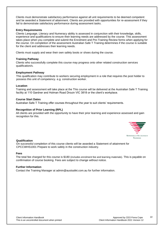Clients must demonstrate satisfactory performance against all unit requirements to be deemed competent and be awarded a Statement of attainment. Clients are provided with opportunities for re-assessment if they fail to demonstrate satisfactory performance during assessment tasks.

#### **Entry Requirements**

Clients Language, Literacy and Numeracy ability is assessed in conjunction with their knowledge, skills, experience and qualifications to ensure their learning needs are addressed by the course. This assessment takes place when you complete and submit the Enrolment and Pre-Training Review forms when applying for the course. On completion of the assessment Australian Safe T Training determines if the course is suitable for the client and addresses their learning needs.

Clients must supply and wear their own safety boots or shoes during the course.

#### **Training Pathway**

Clients who successfully complete this course may progress onto other related construction services qualification/s.

#### **Employment Pathway**

This qualification may contribute to workers securing employment in a role that requires the post holder to possess this unit of competency. e.g. construction worker.

#### **Location**

Training and assessment will take place at the This course will be delivered at the Australian Safe T Training facility at 110 Gardner and Holman Road Drouin VIC 3818 or the client's workplace.

#### **Course Start Dates**

Australian Safe T Training offer courses throughout the year to suit clients' requirements.

#### **Recognition of Prior Learning (RPL)**

All clients are provided with the opportunity to have their prior learning and experience assessed and gain recognition for this.



#### **Qualification**

On successful completion of this course clients will be awarded a Statement of attainment for CPCCWHS1001 Prepare to work safely in the construction industry.

#### **Fees**

The total fee charged for this course is \$180 (includes enrolment fee and learning materials). This is payable on confirmation of course booking. Fees are subject to change without notice.

#### **Further Information**

Contact the Training Manager at admin@austsafet.com.au for further information.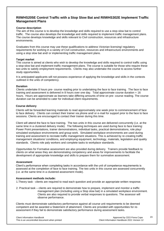## **RIIWHS205E Control Traffic with a Stop Slow Bat and RIIWHS302E Implement Traffic Management Plans**

#### **Course description**

The aim of this course is to develop the knowledge and skills required to use a stop-slow bat to control traffic. The course also develops the knowledge and skills required to implement traffic management plans. The course develops knowledge and skills relevant to Civil construction, resources and infrastructure environments.

Graduates from this course may use these qualifications to address Victorian licensing/ regulatory requirements for working in a variety of Civil construction, resources and infrastructure environments and using a stop slow bat and/ or implementing traffic management plans.

#### **Target market**

This course is aimed at clients who wish to develop the knowledge and skills required to control traffic using a stop-slow bat and implement traffic management plans. The course is suitable for those who require these two units to satisfy employment requirements. Clients may also undertake the course to access further study opportunities.

It is anticipated applicants will not possess experience of applying the knowledge and skills in the contexts outlined in the units of competency.

#### **Duration**

Clients undertake 8 hours pre- course reading prior to undertaking the face to face training. The face to face training and assessment is delivered in 8 hours over one day. Total approximate course duration = 16 hours. Hours are approximate as learners take differing amounts of time on pre- course reading. The course duration can be amended to cater for individual client requirements.

#### **Course delivery**

Clients will be forwarded learning materials to read approximately one week prior to commencement of face to face delivery. Clients can contact their trainer via phone and/ or e-mail for support prior to the face to face sessions. Clients are encouraged to contact their trainer during this time.

Client will attend the face to face training. The two units in this course are delivered concurrently (i.e. at the same time in a clustered delivery mode). The following techniques are used during face to face training: Power Point presentations, trainer demonstrations, individual tasks, practical demonstrations, role play/ simulated workplace environments and group work. Simulated workplace environments are used during training and assessment to recreate traffic management situations. This is achieved by re-creating traffic management situations/ conditions, and employing equipment, technology, materials, legislation and quality standards. Clients role paly workers and complete tasks to workplace standards.

Opportunities for Formative assessment are also provided during delivery. Trainers provide feedback to clients on what areas they are demonstrating competency and areas for improvements to facilitate the development of appropriate knowledge and skills to prepare them for summative assessment.

#### **Assessment**

Client's performance when completing tasks in accordance with the unit of competence requirements is assessed at the completion of face to face training. The two units in this course are assessed concurrently (i.e. at the same time in a clustered assessment mode).

#### **Assessment methods include:**

1.Theory task - clients are required to read each question and provide an appropriate written response.

2. Practical task – clients are required to demonstrate how to prepare, implement and monitor a traffic management plan (including using a Stop slow bat) in a simulated workplace environment. Clients are also required to provide verbal responses to questions. The assessor will observe performance.

Clients must demonstrate satisfactory performance against all course unit requirements to be deemed competent and be awarded a Statement of attainment. Clients are provided with opportunities for reassessment if they fail to demonstrate satisfactory performance during assessment tasks.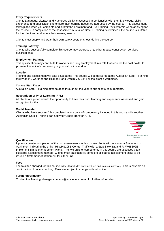#### **Entry Requirements**

Clients Language, Literacy and Numeracy ability is assessed in conjunction with their knowledge, skills, experience and qualifications to ensure their learning needs are addressed by the course. This assessment takes place when you complete and submit the Enrolment and Pre-Training Review forms when applying for the course. On completion of the assessment Australian Safe T Training determines if the course is suitable for the client and addresses their learning needs.

Clients must supply and wear their own safety boots or shoes during the course.

#### **Training Pathway**

Clients who successfully complete this course may progress onto other related construction services qualification/s.

#### **Employment Pathway**

This qualification may contribute to workers securing employment in a role that requires the post holder to possess this unit of competency. e.g. construction worker.

#### **Location**

Training and assessment will take place at the This course will be delivered at the Australian Safe T Training facility at 110 Gardner and Holman Road Drouin VIC 3818 or the client's workplace.

#### **Course Start Dates**

Australian Safe T Training offer courses throughout the year to suit clients' requirements.

#### **Recognition of Prior Learning (RPL)**

All clients are provided with the opportunity to have their prior learning and experience assessed and gain recognition for this.

#### **Credit Transfer**

Clients who have successfully completed whole units of competency included in this course with another Australian Safe T Training can apply for Credit Transfer (CT).



#### **Qualification**

Upon successful completion of the two assessments in this course clients will be issued a Statement of Attainment indicating the units: RIIWHS205E Control Traffic with a Stop Slow Bat and RIIWHS302E Implement Traffic Management Plans. The two units of competency in this course are assessed via a clustered assessment method. Clients must satisfactorily complete all course assessment tasks to be issued a Statement of attainment for either unit.

#### **Fees**

The total fee charged for this course is \$250 (includes enrolment fee and training materials). This is payable on confirmation of course booking. Fees are subject to change without notice.

#### **Further Information**

Contact the Training Manager at admin@austsafet.com.au for further information.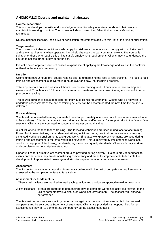## **AHCMOM213 Operate and maintain chainsaws**

#### **Course description**

This course develops the skills and knowledge required to safely operate a hand-held chainsaw and maintain it in working condition. The course includes cross-cutting fallen timber using safe cutting techniques.

No occupational licensing, legislative or certification requirements apply to this unit at the time of publication.

#### **Target market**

The course is suitable for individuals who apply low risk work procedures and comply with worksite health and safety requirements when operating hand-held chainsaws to carry out routine work. The course is suitable for those who require this unit to satisfy employment requirements. Clients may also undertake the course to access further study opportunities.

It is anticipated applicants will not possess experience of applying the knowledge and skills in the contexts outlined in the unit of competency.

#### **Duration**

Clients undertake 2 hours pre- course reading prior to undertaking the face to face training. The face to face training and assessment is delivered in 8 hours over one day. (not including breaks).

Total approximate course duration = 2 hours pre- course reading, and 8 hours face to face training and assessment. Total hours = 10 hours. Hours are approximate as learners take differing amounts of time on pre- course reading.

The course duration is adjusted to cater for individual client's requirements. Clients who do not wish to undertake assessments at the end of training delivery can be accommodated the next time the course is delivered.

#### **Course delivery**

Clients will be forwarded learning materials to read approximately one week prior to commencement of face to face delivery. Clients can contact their trainer via phone and/ or e-mail for support prior to the face to face sessions. Clients are encouraged to contact their trainer during this time.

Client will attend the face to face training. The following techniques are used during face to face training: Power Point presentations, trainer demonstrations, individual tasks, practical demonstrations, role play/ simulated workplace environments and group work. Simulated workplace environments are used during training and assessment to recreate workplace situations. This is achieved by implementing workplace conditions, equipment, technology, materials, legislation and quality standards. Clients role paly workers and complete tasks to workplace standards.

Opportunities for Formative assessment are also provided during delivery. Trainers provide feedback to clients on what areas they are demonstrating competency and areas for improvements to facilitate the development of appropriate knowledge and skills to prepare them for summative assessment.

#### **Assessment**

Client's performance when completing tasks in accordance with the unit of competence requirements is assessed at the completion of face to face training.

#### **Assessment methods include:**

1.Theory task - clients are required to read each question and provide an appropriate written response.

2. Practical task - clients are required to demonstrate how to complete workplace activities relevant to the unit of competency in a simulated workplace environment. The assessor will observe performance.

Clients must demonstrate satisfactory performance against all course unit requirements to be deemed competent and be awarded a Statement of attainment. Clients are provided with opportunities for reassessment if they fail to demonstrate competency during assessment tasks.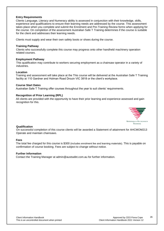#### **Entry Requirements**

Clients Language, Literacy and Numeracy ability is assessed in conjunction with their knowledge, skills, experience and qualifications to ensure their learning needs are addressed by the course. This assessment takes place when you complete and submit the Enrolment and Pre-Training Review forms when applying for the course. On completion of the assessment Australian Safe T Training determines if the course is suitable for the client and addresses their learning needs.

Clients must supply and wear their own safety boots or shoes during the course.

#### **Training Pathway**

Clients who successfully complete this course may progress onto other handheld machinery operation related courses.

#### **Employment Pathway**

This qualification may contribute to workers securing employment as a chainsaw operator in a variety of industries.

#### **Location**

Training and assessment will take place at the This course will be delivered at the Australian Safe T Training facility at 110 Gardner and Holman Road Drouin VIC 3818 or the client's workplace.

#### **Course Start Dates**

Australian Safe T Training offer courses throughout the year to suit clients' requirements.

#### **Recognition of Prior Learning (RPL)**

All clients are provided with the opportunity to have their prior learning and experience assessed and gain recognition for this.



#### **Qualification**

On successful completion of this course clients will be awarded a Statement of attainment for AHCMOM213 Operate and maintain chainsaws.

#### **Fees**

The total fee charged for this course is \$300 (includes enrolment fee and learning materials). This is payable on confirmation of course booking. Fees are subject to change without notice.

#### **Further Information**

Contact the Training Manager at admin@austsafet.com.au for further information.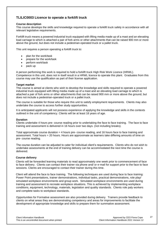## **TLILIC0003 Licence to operate a forklift truck**

#### **Course description**

This course develops the skills and knowledge required to operate a forklift truck safely in accordance with all relevant legislative requirements.

Forklift truck means a powered industrial truck equipped with lifting media made up of a mast and an elevating load carriage to which is attached a pair of fork arms or other attachments that can be raised 900 mm or more above the ground, but does not include a pedestrian-operated truck or a pallet truck.

This unit requires a person operating a forklift truck to:

- plan for the work/task
- prepare for the work/task
- perform work/task
- pack up

A person performing this work is required to hold a forklift truck High Risk Work Licence (HRWL). Competence in this unit, does not in itself result in a HRWL licence to operate this plant. Graduates from this course may use the qualification as part of their license application.

#### **Target market**

This course is aimed at clients who wish to develop the knowledge and skills required to operate a powered industrial truck equipped with lifting media made up of a mast and an elevating load carriage to which is attached a pair of fork arms or other attachments that can be raised 900 mm or more above the ground, but does not include a pedestrian-operated truck or a pallet truck.

The course is suitable for those who require this unit to satisfy employment requirements. Clients may also undertake the course to access further study opportunities.

It is anticipated applicants will not possess experience of applying the knowledge and skills in the contexts outlined in the unit of competency. Clients will be at least 18 years of age.

#### **Duration**

Clients undertake 4 hours pre- course reading prior to undertaking the face to face training. The face to face training and assessment is delivered in 16 hours over two days. (not including breaks).

Total approximate course duration = 4 hours pre- course reading, and 16 hours face to face training and assessment. Total hours = 20 hours. Hours are approximate as learners take differing amounts of time on pre- course reading.

The course duration can be adjusted to cater for individual client's requirements. Clients who do not wish to undertake assessments at the end of training delivery can be accommodated the next time the course is delivered.

#### **Course delivery**

Clients will be forwarded learning materials to read approximately one week prior to commencement of face to face delivery. Clients can contact their trainer via phone and/ or e-mail for support prior to the face to face sessions. Clients are encouraged to contact their trainer during this time.

Client will attend the face to face training. The following techniques are used during face to face training: Power Point presentations, trainer demonstrations, individual tasks, practical demonstrations, role play/ simulated workplace environments and group work. Simulated workplace environments are used during training and assessment to recreate workplace situations. This is achieved by implementing workplace conditions, equipment, technology, materials, legislation and quality standards. Clients role paly workers and complete tasks to workplace standards.

Opportunities for Formative assessment are also provided during delivery. Trainers provide feedback to clients on what areas they are demonstrating competency and areas for improvements to facilitate the development of appropriate knowledge and skills to prepare them for summative assessment.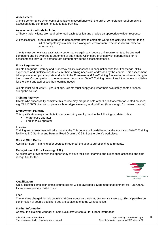#### **Assessment**

Client's performance when completing tasks in accordance with the unit of competence requirements is assessed at the completion of face to face training.

#### **Assessment methods include:**

- 1.Theory task clients are required to read each question and provide an appropriate written response.
- 2. Practical task clients are required to demonstrate how to complete workplace activities relevant to the unit of competency in a simulated workplace environment. The assessor will observe performance.

Clients must demonstrate satisfactory performance against all course unit requirements to be deemed competent and be awarded a Statement of attainment. Clients are provided with opportunities for reassessment if they fail to demonstrate competency during assessment tasks.

#### **Entry Requirements**

Clients Language, Literacy and Numeracy ability is assessed in conjunction with their knowledge, skills, experience and qualifications to ensure their learning needs are addressed by the course. This assessment takes place when you complete and submit the Enrolment and Pre-Training Review forms when applying for the course. On completion of the assessment Australian Safe T Training determines if the course is suitable for the client and addresses their learning needs.

Clients must be at least 18 years of age. Clients must supply and wear their own safety boots or shoes during the course.

#### **Training Pathway**

Clients who successfully complete this course may progress onto other Forklift operator or related courses e.g. TLILIC0005 Licence to operate a boom-type elevating work platform (boom length 11 metres or more)

#### **Employment Pathway**

This qualification may contribute towards securing employment in the following or related roles:

- Warehouse operator
- Forklift truck operator

#### **Location**

Training and assessment will take place at the This course will be delivered at the Australian Safe T Training facility at 110 Gardner and Holman Road Drouin VIC 3818 or the client's workplace.

#### **Course Start Dates**

Australian Safe T Training offer courses throughout the year to suit clients' requirements.

#### **Recognition of Prior Learning (RPL)**

All clients are provided with the opportunity to have their prior learning and experience assessed and gain recognition for this.



#### **Qualification**

On successful completion of this course clients will be awarded a Statement of attainment for TLILIC0003 Licence to operate a forklift truck.

#### **Fees**

The total fee charged for this course is \$500 (includes enrolment fee and learning materials). This is payable on confirmation of course booking. Fees are subject to change without notice.

#### **Further Information**

Contact the Training Manager at admin@austsafet.com.au for further information.

This is an uncontrolled document when printed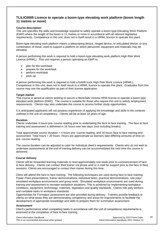## **TLILIC0005 Licence to operate a boom-type elevating work platform (boom length 11 metres or more)**

#### **Course description**

This unit specifies the skills and knowledge required to safely operate a boom-type Elevating Work Platform (EWP) where the length of the boom is 11 metres or more in accordance with all relevant legislative requirements. Competence in this unit, does not in itself result in a HRWL licence to operate this plant.

Boom-type elevating work platform means a telescoping device, hinged device, or articulated device, or any combination of these, used to support a platform on which personnel, equipment and materials may be elevated.

A person performing this work is required to hold a boom-type elevating work platform High Risk Work Licence (HRWL). This unit requires a person operating an EWP to:

- plan for the work/task
- prepare for the work/task
- perform work/task
- pack up

A person performing this work is required to hold a forklift truck High Risk Work Licence (HRWL). Competence in this unit, does not in itself result in a HRWL licence to operate this plant. Graduates from this course may use the qualification as part of their license application.

#### **Target market**

This course is aimed at clients wishing to secure a WorkSafe Victoria HRW license to operate a boom type elevated work platform (EWP). The course is suitable for those who require this unit to satisfy employment requirements. Clients may also undertake the course to access further study opportunities.

It is anticipated applicants will not possess experience of applying the knowledge and skills in the contexts outlined in the unit of competency. Clients will be at least 18 years of age.

#### **Duration**

Clients undertake 4 hours pre- course reading prior to undertaking the face to face training. The face to face training and assessment is delivered in 16 hours over two days. (not including breaks).

Total approximate course duration = 4 hours pre- course reading, and 16 hours face to face training and assessment. Total hours = 20 hours. Hours are approximate as learners take differing amounts of time on pre- course reading.

The course duration can be adjusted to cater for individual client's requirements. Clients who do not wish to undertake assessments at the end of training delivery can be accommodated the next time the course is delivered.

#### **Course delivery**

Clients will be forwarded learning materials to read approximately one week prior to commencement of face to face delivery. Clients can contact their trainer via phone and/ or e-mail for support prior to the face to face sessions. Clients are encouraged to contact their trainer during this time.

Client will attend the face to face training. The following techniques are used during face to face training: Power Point presentations, trainer demonstrations, individual tasks, practical demonstrations, role play/ simulated workplace environments and group work. Simulated workplace environments are used during training and assessment to recreate workplace situations. This is achieved by implementing workplace conditions, equipment, technology, materials, legislation and quality standards. Clients role paly workers and complete tasks to workplace standards.

Opportunities for Formative assessment are also provided during delivery. Trainers provide feedback to clients on what areas they are demonstrating competency and areas for improvements to facilitate the development of appropriate knowledge and skills to prepare them for summative assessment.

#### **Assessment**

Client's performance when completing tasks in accordance with the unit of competence requirements is assessed at the completion of face to face training.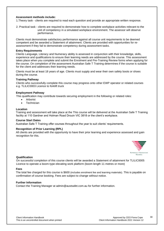#### **Assessment methods include:**

- 1.Theory task clients are required to read each question and provide an appropriate written response.
- 2. Practical task clients are required to demonstrate how to complete workplace activities relevant to the unit of competency in a simulated workplace environment. The assessor will observe performance.

Clients must demonstrate satisfactory performance against all course unit requirements to be deemed competent and be awarded a Statement of attainment. Clients are provided with opportunities for reassessment if they fail to demonstrate competency during assessment tasks.

#### **Entry Requirements**

Clients Language, Literacy and Numeracy ability is assessed in conjunction with their knowledge, skills, experience and qualifications to ensure their learning needs are addressed by the course. This assessment takes place when you complete and submit the Enrolment and Pre-Training Review forms when applying for the course. On completion of the assessment Australian Safe T Training determines if the course is suitable for the client and addresses their learning needs.

Clients must be at least 18 years of age. Clients must supply and wear their own safety boots or shoes during the course.

#### **Training Pathway**

Clients who successfully complete this course may progress onto other EWP operator or related courses e.g. TLILIC0003 Licence to forklift truck

#### **Employment Pathway**

This qualification may contribute towards securing employment in the following or related roles:

- **Arborist**
- **Technician**

#### **Location**

Training and assessment will take place at the This course will be delivered at the Australian Safe T Training facility at 110 Gardner and Holman Road Drouin VIC 3818 or the client's workplace.

#### **Course Start Dates**

Australian Safe T Training offer courses throughout the year to suit clients' requirements.

#### **Recognition of Prior Learning (RPL)**

All clients are provided with the opportunity to have their prior learning and experience assessed and gain recognition for this.



#### **Qualification**

On successful completion of this course clients will be awarded a Statement of attainment for TLILIC0005 Licence to operate a boom-type elevating work platform (boom length 11 metres or more)

#### **Fees**

The total fee charged for this course is \$600 (includes enrolment fee and learning materials). This is payable on confirmation of course booking. Fees are subject to change without notice.

#### **Further Information**

Contact the Training Manager at admin@austsafet.com.au for further information.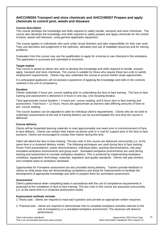## **AHCCHM304 Transport and store chemicals and AHCCHM307 Prepare and apply chemicals to control pest, weeds and diseases**

#### **Course description**

This course develops the knowledge and skills required to safely handle, transport and store chemicals. The course also develops the knowledge and skills required to safely prepare and apply chemicals for the control of pests, weeds and diseases, using general application equipment.

The course applies to individuals who work under broad direction and take responsibility for their own work. They use discretion and judgement in the selection, allocation and use of available resources and for solving problems.

Graduates from this course may use the qualification to apply for a license to use chemical in the workplace. The application is accessed and submitted to Auschem.

#### **Target market**

This course is aimed at clients who wish to develop the knowledge and skills required to handle, prepare apply, transport and store chemicals. The course is suitable for those who require these two units to satisfy employment requirements. Clients may also undertake the course to access further study opportunities.

It is anticipated applicants will not possess experience of applying the knowledge and skills in the contexts outlined in the unit of competency.

#### **Duration**

Clients undertake 4 hours pre- course reading prior to undertaking the face to face training. The face to face training and assessment is delivered in 8 hours in one day. (not including breaks).

Total approximate course duration = 4 hours pre- course reading, and 8 hours face to face training and assessment. Total hours = 12 hours. Hours are approximate as learners take differing amounts of time on pre- course reading.

The course duration can be adjusted to cater for individual client's requirements. Clients who do not wish to undertake assessments at the end of training delivery can be accommodated the next time the course is delivered.

#### **Course delivery**

Clients will be forwarded learning materials to read approximately one week prior to commencement of face to face delivery. Clients can contact their trainer via phone and/ or e-mail for support prior to the face to face sessions. Clients are encouraged to contact their trainer during this time.

Client will attend the face to face training. The two units in this course are delivered concurrently (i.e. at the same time in a clustered delivery mode). The following techniques are used during face to face training: Power Point presentations, trainer demonstrations, individual tasks, practical demonstrations, role play/ simulated workplace environments and group work. Simulated workplace environments are used during training and assessment to recreate workplace situations. This is achieved by implementing workplace conditions, equipment, technology, materials, legislation and quality standards. Clients role paly workers and complete tasks to workplace standards.

Opportunities for Formative assessment are also provided during delivery. Trainers provide feedback to clients on what areas they are demonstrating competency and areas for improvements to facilitate the development of appropriate knowledge and skills to prepare them for summative assessment.

#### **Assessment**

Client's performance when completing tasks in accordance with the unit of competence requirements is assessed at the completion of face to face training. The two units in this course are assessed concurrently (i.e. at the same time in a clustered assessment mode).

#### **Assessment methods include:**

1.Theory task - clients are required to read each question and provide an appropriate written response.

2. Practical task - clients are required to demonstrate how to complete workplace activities relevant to the unit of competency in a simulated workplace environment. The assessor will observe performance.

Client Information Handbook<br>This is an uncontrolled document when printed This is an uncontrolled document when printed This is an uncontrolled document when printed This is an uncontrolled document when printed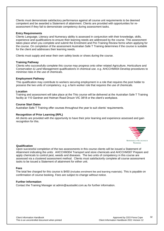Clients must demonstrate satisfactory performance against all course unit requirements to be deemed competent and be awarded a Statement of attainment. Clients are provided with opportunities for reassessment if they fail to demonstrate competency during assessment tasks.

#### **Entry Requirements**

Clients Language, Literacy and Numeracy ability is assessed in conjunction with their knowledge, skills, experience and qualifications to ensure their learning needs are addressed by the course. This assessment takes place when you complete and submit the Enrolment and Pre-Training Review forms when applying for the course. On completion of the assessment Australian Safe T Training determines if the course is suitable for the client and addresses their learning needs.

Clients must supply and wear their own safety boots or shoes during the course.

#### **Training Pathway**

Clients who successfully complete this course may progress onto other related Agriculture, Horticulture and Conservation & Land Management qualification/s in chemical use. e.g. AHCCHM404 Develop procedures to minimise risks in the use of chemicals.

#### **Employment Pathway**

This qualification may contribute to workers securing employment in a role that requires the post holder to possess the two units of competency. e.g. a farm worker role that requires the use of chemicals.

#### **Location**

Training and assessment will take place at the This course will be delivered at the Australian Safe T Training facility at 110 Gardner and Holman Road Drouin VIC 3818 or the client's workplace.

#### **Course Start Dates**

Australian Safe T Training offer courses throughout the year to suit clients' requirements.

#### **Recognition of Prior Learning (RPL)**

All clients are provided with the opportunity to have their prior learning and experience assessed and gain recognition for this.



#### **Qualification**

Upon successful completion of the two assessments in this course clients will be issued a Statement of Attainment indicating the units: AHCCHM304 Transport and store chemicals and AHCCHM307 Prepare and apply chemicals to control pest, weeds and diseases. The two units of competency in this course are assessed via a clustered assessment method. Clients must satisfactorily complete all course assessment tasks to be issued a Statement of attainment for either unit.

#### **Fees**

The total fee charged for this course is \$450 (includes enrolment fee and learning materials). This is payable on confirmation of course booking. Fees are subject to change without notice.

#### **Further Information**

Contact the Training Manager at admin@austsafet.com.au for further information.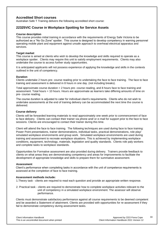## **Accredited Short courses**

Australian Safe T Training delivers the following accredited short course:

### **22325VIC Course in Workplace Spotting for Service Assets**

#### **Course description**

This course provides initial training in accordance with the requirements of Energy Safe Victoria to be authorized as a "No Go Zone" spotter. This course is designed to develop competency in warning personnel operating mobile plant and equipment against unsafe approach to overhead electrical apparatus and services.

#### **Target market**

This course is aimed at clients who wish to develop the knowledge and skills required to operate as a workplace spotter. Clients may require this unit to satisfy employment requirements. Clients may also undertake the course to access further study opportunities.

It is anticipated applicants will not possess experience of applying the knowledge and skills in the contexts outlined in the unit of competency.

#### **Duration**

Clients undertake 2 hours pre- course reading prior to undertaking the face to face training. The face to face training and assessment is delivered in 8 hours in one day. (not including breaks).

Total approximate course duration = 2 hours pre- course reading, and 8 hours face to face training and assessment. Total hours = 10 hours. Hours are approximate as learners take differing amounts of time on pre- course reading.

The course duration is adjusted to cater for individual client's requirements. Clients who do not wish to undertake assessments at the end of training delivery can be accommodated the next time the course is delivered.

#### **Course delivery**

Clients will be forwarded learning materials to read approximately one week prior to commencement of face to face delivery. Clients can contact their trainer via phone and/ or e-mail for support prior to the face to face sessions. Clients are encouraged to contact their trainer during this time.

Client will attend the face to face training. The following techniques are used during face to face training: Power Point presentations, trainer demonstrations, individual tasks, practical demonstrations, role play/ simulated workplace environments and group work. Simulated workplace environments are used during training and assessment to recreate workplace situations. This is achieved by implementing workplace conditions, equipment, technology, materials, legislation and quality standards. Clients role paly workers and complete tasks to workplace standards.

Opportunities for Formative assessment are also provided during delivery. Trainers provide feedback to clients on what areas they are demonstrating competency and areas for improvements to facilitate the development of appropriate knowledge and skills to prepare them for summative assessment.

#### **Assessment**

Client's performance when completing tasks in accordance with the unit of competence requirements is assessed at the completion of face to face training.

#### **Assessment methods include:**

1.Theory task - clients are required to read each question and provide an appropriate written response.

2. Practical task - clients are required to demonstrate how to complete workplace activities relevant to the unit of competency in a simulated workplace environment. The assessor will observe performance.

Clients must demonstrate satisfactory performance against all course requirements to be deemed competent and be awarded a Statement of attainment. Clients are provided with opportunities for re-assessment if they fail to demonstrate competency during assessment tasks.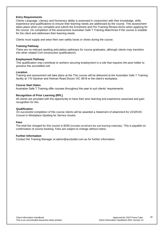#### **Entry Requirements**

Clients Language, Literacy and Numeracy ability is assessed in conjunction with their knowledge, skills, experience and qualifications to ensure their learning needs are addressed by the course. This assessment takes place when you complete and submit the Enrolment and Pre-Training Review forms when applying for the course. On completion of the assessment Australian Safe T Training determines if the course is suitable for the client and addresses their learning needs.

Clients must supply and wear their own safety boots or shoes during the course.

#### **Training Pathway**

There are no relevant spotting articulation pathways for course graduates, although clients may transition into other related Civil construction qualification/s.

#### **Employment Pathway**

This qualification may contribute to workers securing employment in a role that requires the post holder to possess this accredited unit.

#### **Location**

Training and assessment will take place at the This course will be delivered at the Australian Safe T Training facility at 110 Gardner and Holman Road Drouin VIC 3818 or the client's workplace.

#### **Course Start Dates**

Australian Safe T Training offer courses throughout the year to suit clients' requirements.

#### **Recognition of Prior Learning (RPL)**

All clients are provided with the opportunity to have their prior learning and experience assessed and gain recognition for this.

#### **Qualification**

On successful completion of this course clients will be awarded a Statement of attainment for 22325VIC Course in Workplace Spotting for Service Assets.

#### **Fees**

The total fee charged for this course is \$200 (includes enrolment fee and learning materials). This is payable on confirmation of course booking. Fees are subject to change without notice.

#### **Further Information**

Contact the Training Manager at admin@austsafet.com.au for further information.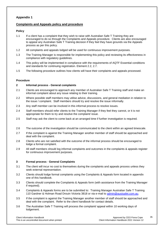## **Appendix 1**

## **Complaints and Appeals policy and procedure**

## **Policy**

- 1.1 If a client has a complaint that they wish to raise with Australian Safe T Training they are encouraged to do so through the Complaints and Appeals procedure. Clients are also encouraged to appeal any Australian Safe T Training decision if they feel they have grounds via the Appeals process as per this policy.
- 1.2 All complaints and appeals lodged will be used for continuous improvement purposes.
- 1.3 The Training Manager is responsible for implementing this policy and reviewing its effectiveness in compliance with regulatory guidelines.
- 1.4 This policy will be implemented in compliance with the requirements of AQTF Essential conditions and standards for continuing registration. Element 2.2, 2.7.
- 1.5 The following procedure outlines how clients will have their complaints and appeals processed.

#### **Procedure**

#### **2 Informal process - General complaints**

- 2.1 Clients are encouraged to approach any member of Australian Safe T Training staff and make an informal complaint about any issue relating to their training.
- 2.2 Where possible staff members may utilise advice, discussions, and general mediation in relation to the issue / complaint. Staff members should try and resolve the issue informally.
- 2.3 Any staff member can be involved in this informal process to resolve issues.
- 2.4 Staff members should refer clients to the Training Manager if they feel they cannot, or it is not appropriate for them to try and resolve the complaint/ issue.
- 2.5 Staff may ask the client to come back at an arranged time if further investigation is required.
- 2.6 The outcome of the investigation should be communicated to the client within an agreed timescale.
- 2.7 If the complaint is against the Training Manager another member of staff should be approached and deal with the complaint.
- 2.8 Clients who are not satisfied with the outcome of the informal process should be encouraged to lodge a formal complaint.
- 2.9 All staff members should log informal complaints and outcomes in the complaints & appeals register for continuous improvement purposes.

## **3 Formal process** - **General Complaints**

- 3.1 The client will incur no cost to themselves during the complaints and appeals process unless they seek external representation.
- 3.2 Clients should lodge formal complaints using the Complaints & Appeals form located in appendix one of this handbook.
- 3.3 Clients should complete the Complaints & Appeals form (with assistance from the Training Manager if required).
- 3.4 Complaints & Appeals forms are to be submitted to: Training Manager Australian Safe T Training 110 Gardner & Holman Road Drouin Victoria 3818 or via e-mail to [admin@austsafet.com.au.](mailto:safetconsulting@dcsi.net.au)
- 3.5 If the complaint is against the Training Manager another member of staff should be approached and deal with the complaint. Refer to the client handbook for contact details.
- 3.6 The Australian Safe T Training will process the complaint/ appeal within 10 working days of lodgement.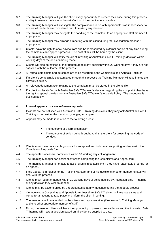- 3.7 The Training Manager will give the client every opportunity to present their case during this process and try to resolve the issue to the satisfaction of the client where possible.
- 3.8 The Training Manager will investigate the complaint and liaise with appropriate staff if necessary, to ensure all the facts are considered prior to making any decision.
- 3.9 The Training Manager may delegate the handling of the complaint to an appropriate staff member if appropriate.
- 3.10 The Training Manager may arrange a meeting with the client during the investigation process if appropriate.
- 3.11 Clients' have the right to seek advice from and be represented by external parties at any time during the complaints and appeals process. The cost of this will be borne by the client.
- 3.12 The Training Manager will notify the client in writing of Australian Safe T Trainings decision within 3 working days of the decision being made.
- 3.13 Clients will also be notified of their right to appeal any decision within 20 working days if they are not satisfied with the outcome of the process.
- 3.14 All formal complaints and outcomes are to be recorded in the Complaints and Appeals Register.
- 3.15 If a client's complaint is substantiated through this process the Training Manager will take immediate corrective action.
- 3.16 All relevant documentation relating to the complaint must be stored in the clients file.
- 3.17 If a client is dissatisfied with Australian Safe T Training's decision regarding the complaint, they have the right to appeal the decision via Australian Safe T Training's Appeals Policy. The procedure is outlined below.

#### **4 Internal appeals process – General appeals**

- 4.1 If clients are not satisfied with Australian Safe T Training decisions, they may ask Australian Safe T Training to reconsider the decision by lodging an appeal.
- 4.2 Appeals may be made in relation to the following areas:
	- The outcome of a formal complaint
	- The outcome of action being brought against the client for breaching the code of conduct
- 4.3 Clients must have reasonable grounds for an appeal and include all supporting evidence with the Complaints & Appeals form.
- 4.4 The appeals process will commence within 10 working days of lodgement.
- 4.5 The Training Manager can assist clients with completing the Complaints and Appeal form.
- 4.6 The Training Manager is not able to assist clients in establishing if they have reasonable grounds for an appeal.
- 4.7 If the appeal is in relation to the Training Manager and or his decisions another member of staff will deal with the process.
- 4.8 Clients must lodge an appeal within 20 working days of being notified by Australian Safe T Training of any decision they wish to appeal.
- 4.9 Clients may be accompanied by a representative at any meetings during the appeals process.
- 4.10 On receiving a Complaints and Appeals form Australian Safe T Training will arrange a time and venue for a meeting to take place and inform the client in writing.
- 4.11 The meeting shall be attended by the clients and representative (if requested), Training Manager and one other appropriate member of staff.
- 4.12 During the meeting clients will have the opportunity to present their evidence and the Australian Safe T Training will make a decision based on all evidence supplied to date.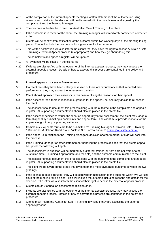- 4.13 At the completion of the internal appeals meeting a written statement of the outcome including reasons and details for the decision will be discussed with the complainant and signed by the complainant and the Training Manager.
- 4.14 The outcome will either be in favour of Australian Safe T Training or the client.
- 4.15 If the outcome is in favour of the client, the Training manager will immediately commence corrective action.
- 4.16 Clients will be sent written notification of the outcome within two working days of the meeting taking place. This will include the outcome including reasons for the decision.
- 4.17 This written notification will also inform the clients that they have the right to access Australian Safe T Trainings External Appeal process (if appropriate) and how they go about doing this.
- 4.18 The complaints and appeals register will be updated.
- 4.19 All evidence will be placed in the clients file.
- 4.20 If clients are dissatisfied with the outcome of the internal appeals process, they may access the external appeals process. Details of how to activate this process are contained in the policy and procedure.

#### **5 Internal appeals process – Assessments**

- 5.1 If a client feels they have been unfairly assessed or there are circumstances that impacted their performance, they may appeal the assessment decision.
- 5.2 Client should approach their assessor in this case outlining the reasons for their appeal.
- 5.3 If the assessor feels there is reasonable grounds for the appeal, he/ she may decide to re-assess the client.
- 5.4 The assessor should document this process along with the outcome in the complaints and appeals register. All supporting documentation should also be placed in the clients file.
- 5.5 If the assessor decides to refuse the client an opportunity for re-assessment, the client may lodge a formal appeal by submitting a complaints and appeal form. The client must provide reasons for the appeal along with any supporting evidence.
- 5.6 Complaints & Appeals forms are to be submitted to: Training Manager Australian Safe T Training 110 Gardner & Holman Road Drouin Victoria 3818 or via e-mail to [admin@austsafet.com.au.](mailto:safetconsulting@dcsi.net.au)
- 5.7 If the appeal is in relation to the Training Manager's decision another member of staff will deal with the process.
- 5.8 If the Training Manager or other staff member handling the process decides that the clients appeal be upheld the following will apply.
- 5.9 The assessment in question will be marked by a different trainer (or from a trainer from another Australian Safe T Training if appropriate and feasible) and the outcome communicated to the client.
- 5.10 The assessor should document this process along with the outcome in the complaints and appeals register. All supporting documentation should also be placed in the clients file.
- 5.11 The client will be awarded the grade that gives them the most favourable outcome between the two gradings.
- 5.12 If the clients appeal is refused, they will be sent written notification of the outcome within five working days of the meeting taking place. This will include the outcome including reasons and details for the decision. The letter will also inform the client of their right to access the external appeals process.
- 5.13 Clients can only appeal an assessment decision once.
- 5.14 If clients are dissatisfied with the outcome of the internal appeals process, they may access the external appeals process. Details of how to activate this process are contained in the policy and procedure.
- 5.15 Clients must inform the Australian Safe T Training in writing if they are accessing the external appeals process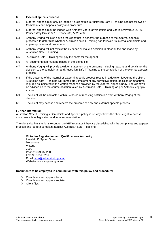#### **6 External appeals process**

- 6.1 External appeals may only be lodged if a client thinks Australian Safe T Training has not followed it Complaints and Appeals policy and procedure.
- 6.2 External appeals may be lodged with Anthony Vogrig of Wakefield and Vogrig Lawyers 2 /22-26 Princes Way Drouin 3818. Phone (03) 5625 4688.
- 6.3 Anthony Vogrig will also advise the client that in general, the purpose of the external appeals process is to determine whether Australian safe T Training has followed its internal complaints and appeals policies and procedures**.**
- 6.4 Anthony Vogrig will not review the evidence or make a decision in place of the one made by Australian Safe T Training.
- 6.5 Australian Safe T Training will pay the costs for the appeal.
- 6.6 All documentation must be placed in the clients file.
- 6.7 Anthony Vogrig will provide a written statement of the outcome including reasons and details for the decision to the complainant and Australian Safe T Training at the completion of the external appeals process.
- 6.8 If the outcome of the internal or external appeals process results in a decision favouring the client, Australian safe T Training will immediately implement any corrective action, decision or measures required as indicated in the written response provided by the external appeals body. The client will be advised as to the course of action taken by Australian Safe T Training as per Anthony Vogrig's advice.
- 6.9 The client will be contacted within 24 hours of receiving notification from Anthony Vogrig of the decision.
- 6.10 The client may access and receive the outcome of only one external appeals process.

#### **Further information**

Australian Safe T Training's Complaints and Appeals policy in no way effects the clients right to access consumer affairs legislation and legal representation.

The client also has the right to contact the VET regulator if they are dissatisfied with the complaints and appeals process and lodge a complaint against Australian Safe T Training.

#### **Victorian Registration and Qualifications Authority**

Level 6, 35 Spring Street Melbourne Victoria 3000 Phone: 03 9537 2806 Fax: 93 9651 3266 Email: [vrqa@edumail.vic.gov.au](mailto:vrqa@edumail.vic.gov.au) Website: www.vrqa.vic.gov.au

#### **Documents to be employed in conjunction with this policy and procedure:**

- $\triangleright$  Complaints and appeals form
- $\triangleright$  Complaints and appeals register
- ➢ Client files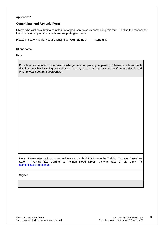#### **Appendix 2**

#### **Complaints and Appeals Form**

Clients who wish to submit a complaint or appeal can do so by completing this form. Outline the reasons for the complaint/ appeal and attach any supporting evidence.

Please indicate whether you are lodging a: **Complaint** □ **Appeal** □

#### **Client name:**

**Date:**

Provide an explanation of the reasons why you are complaining/ appealing. (please provide as much detail as possible including staff/ clients involved, places, timings, assessment/ course details and other relevant details if appropriate).

**Note.** Please attach all supporting evidence and submit this form to the Training Manager Australian Safe T Training 110 Gardner & Holman Road Drouin Victoria 3818 or via e-mail to [admin@austsafet.com.au](mailto:safetconsulting@dcsi.net.au)

**Signed:**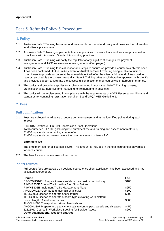## Fees & Refunds Policy & Procedure

## **1. Policy**

- 1.1 Australian Safe T Training has a fair and reasonable course refund policy and provides this information to all clients' pre enrolment.
- 1.2 Australian Safe T Training implements financial practices to ensure that client fees are processed in compliance with Australian Standard Accounting practices.
- 1.3 Australian Safe T Training will notify the regulator of any significant changes fee payment arrangements and TAS/ fee assurance arrangements (if employed).
- 1.4 Australian Safe T Training takes all reasonable steps to ensure we provide a course to a client/s once it has been confirmed. In the unlikely event of Australian Safe T Training being unable to fulfill its commitment to provide a course at the agreed date it will offer the client a full refund of fees paid to date or re-schedule the course. Australian Safe T Training takes a collaborative approach with client's and provides support to facilitate the successful completion of their course within agreed timeframes.
- 1.5 This policy and procedure applies to all clients enrolled in Australian Safe T Training courses, organisational partnerships and marketing, enrolment and finance staff.
- 1.6 This policy will be implemented in compliance with the requirements of AQTF Essential conditions and standards for continuing registration condition 5 and VRQA VET Guideline 1.

## **2. Fees**

## **Full qualifications**

2.1 Fees are collected in advance of course commencement and at the identified points during each course.

RII30815 Certificate III in Civil Construction Plant Operations

Total course fee - \$7,000 (including \$50 enrolment fee and training and assessment materials).

\$1,000 is payable on accepting course offer.

\$1,000 is payable two weeks before the commencement of terms 2 -7.

#### **Enrolment fee**

The enrolment fee for all courses is \$50. This amount is included in the total course fees advertised for each course.

2.2 The fees for each course are outlined below:

#### **Short courses**

Full course fees are payable on booking course once client application has been assessed and has accepted course offer.

| <b>Course</b>                                                             | Fee   |
|---------------------------------------------------------------------------|-------|
| CPCCWHS1001 Prepare to work safely in the construction industry           | \$180 |
| RIIWHS205E Control Traffic with a Stop Slow Bat and                       |       |
| RIIWHS302E Implement Traffic Management Plans                             | \$250 |
| AHCMOM213 Operate and maintain chainsaws                                  | \$300 |
| TLILIC0003 Licence to operate a forklift truck                            | \$500 |
| TLILIC0005 Licence to operate a boom-type elevating work platform         |       |
| (boom length 11 metres or more)                                           | \$600 |
| AHCCHM304 Transport and store chemicals and                               |       |
| AHCCHM307 Prepare and apply chemicals to control pest, weeds and diseases | \$450 |
| 22325VIC Course in Workplace Spotting for Service Assets                  | \$200 |
| Other qualifications, fees and charges                                    |       |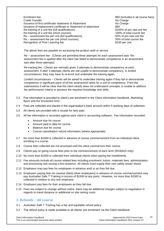Enrolment fee **\$50** (included in all course fees) Credit Transfer No Charge No Charge No Charge No Charge No Charge No Charge No Charge No Charge No Charge No Charge No Charge No Charge No Charge No Charge No Charge No Charge No Charge No Charge No Charge No Charge No Cha Issuance of first certificate/ statement of Attainment No Charge Issuance of replacement certificate or Statement of attainment \$50 Re-training of a unit fee (full qualifications) 6100% of pro rata unit fee Re-training of a unit fee (short courses) 100% of total course fee Re – assessment fee per unit (full qualifications) 60% of pro rata unit fee Re – assessment fee per unit (short courses) 60% of total course fee Recognition of Prior Learning fee \$150 per unit

The above fees are payable on accessing the product and/ or service.

Re – assessment fee - (Clients are permitted three attempts for each assessment task. Reassessment fee is applied after the client has failed to demonstrate competence in an assessment task after three attempts)

Re-training fee - Clients are normally given 3 attempts to demonstrate competency at each assessment. If after 3 attempts clients are still unable to demonstrate competency, in *limited circumstances*, they may have to re-enrol and undertake the training again.

*Limited circumstances* – Clients will be asked to undertake training again if they fail to demonstrate competence in significant parts of all the assessment tasks for a unit of competency. From the submissions it will be clear that the client clearly does not understand concepts, is unable to address the performance criteria or possess the required knowledge and skills.

- 2.3 Fee information is provided to client's pre enrolment in the Client information handbook, Marketing flyers and the Enrolment form.
- 2.4 Fess are collected and placed in the organisation's bank account within 5 working days of collection.
- 2.5 All clients are provided with a receipt for fees paid.
- 2.6 All fee information is recorded against each client in accounting software. Fee information recorded:
	- Amount due for course
	- Amount paid to date for course
	- Balance due for course
	- Course cancellation/ refund information (where appropriate)
- 2.7 No more than \$1500 is collected in advance of course commencement from an individual client enrolling in a course.
- 2.8 Course fees collected are not accessed until the client commences their course.
- 2.9 Clients pay on going course fees prior to the commencement of each term (RII30815 only).
- 2.10 No more than \$1500 is collected from individual clients when paying fee installments.
- 2.11 Fee amounts include all course related fees including enrolment, tuition, materials fees, administration, and processing and issuing a first testamur. All clients must supply their own safety boots/ shoes.
- 2.12 Employers may pay fees for employees in advance and/ or as they fall due.
- 2.13 Employers paying fees for several clients (their employees) in advance of course commencement may pay Australian Safe T Training in excess of \$1500 at any point. However, no more than \$1500 is collected in relation to any one employee.
- 2.14 Employers pay fees for their employees as they fall due.
- 2.15 Fees are subject to change without notice, there may be additional charges subject to negotiation in regards to travel distance or additional on site raining costs.

## **3. Refunds – All course**

- 3.1 Australian Safe T Training has a fair and equitable refund policy.
- 3.2 The refund policy is made available to all clients' pre enrolment via the Client handbook.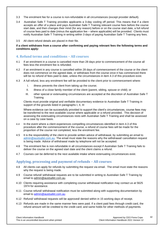- 3.3 The enrolment fee for a course is non-refundable in all circumstances (except provider default).
- 3.4 Australian Safe T Training provides applicants a 3-day cooling off period. This means that if a client accepts an offer of a place and pays Australian Safe T Training relevant course fees before the course start date, and then changes their mind (for any reason) before or on the course start date, a full refund of course fees paid to date (minus the application fee – where applicable) will be provided. Clients must notify Australian Safe T Training in writing within 3 days of paying Australian Safe T Training any fees.
- 3.5 All client refund details are placed in their file.

**If a client withdraws from a course after confirming and paying relevant fees the following terms and conditions apply:**

## **4. Refund terms and conditions – All courses**

- 4.1 If an enrolment in a course is cancelled more than 28 days prior to commencement of the course all fees less the enrolment fee is refunded.
- 4.2 If an enrolment in any course is cancelled within 28 days of commencement of the course or the client does not commence on the agreed date, or withdraws from the course once it has commenced there will be no refund of fees paid to date, unless the circumstances in item 4.3 of this procedure exist.
- 4.3 A full refund, less any enrolment fee will be provided to the client prior to commencement where:
	- I. illness prevents the client from taking up the course;
	- II. illness of a close family member of the client (parent, sibling, spouse or child); or
	- III. other special or extenuating circumstances are accepted at the discretion of Australian Safe T **Training**

Clients must provide original and verifiable documentary evidence to Australian Safe T Training in support of the grounds listed in paragraphs I, II, III

Where evidence can be successfully provided to support the client's circumstances, course fees may be transferred to the next available course where applicable or a refund provided. This decision of assessing the extenuating circumstances rests with Australian Safe T Training and shall be assessed on a case by case basis.

- 4.4 In the event where a client experiences compelling circumstances identified in item 4.3 of this procedure after the commencement of the course, a refund of course fees will be made for the proportion of the course not completed, less the enrolment fee.
- 4.5 It is the responsibility of the client to provide written advice of withdrawal, by submitting an email to [admin@austsafet.com.au.](mailto:info@rtoname.com.au) The email must state the reasons why the withdrawal/ cancellation request is being made. Advice of withdrawal made by telephone will not be accepted.
- 4.6 The enrolment fee is non-refundable in all circumstances except if Australian Safe T Training fails to deliver the course on the agreed start date and the client claims a refund.
- 4.7 Courses can be deferred to the next available intake where extenuating circumstances exist.

## **Applying, processing and payment of refunds – All courses**

- 4.8 All clients can apply for refunds by submitting the request via email. The email must state the reasons why the request is being made.
- 4.9 Course refund/ withdrawal requests are to be submitted in writing to Australian Safe T Training by email to [admin@austsafet.com.au.](mailto:admin@austsafet.com.au)
- 4.10 Clients requiring assistance with completing course withdrawal notification may contact us at 5625 1974 for assistance.
- 4.11 Course refund/ withdrawal notification must be submitted along with supporting documentation by email to [admin@austsafet.com.au.](mailto:admin@austsafet.com.au)
- 4.12 Refund/ withdrawal requests will be approved/ denied within in 15 working days of receipt.
- 4.13 Refunds are made in the same manner fees were paid. If a client paid fees through credit card, the refund amount will be credited to the credit card; and same holds for other methods of payments.